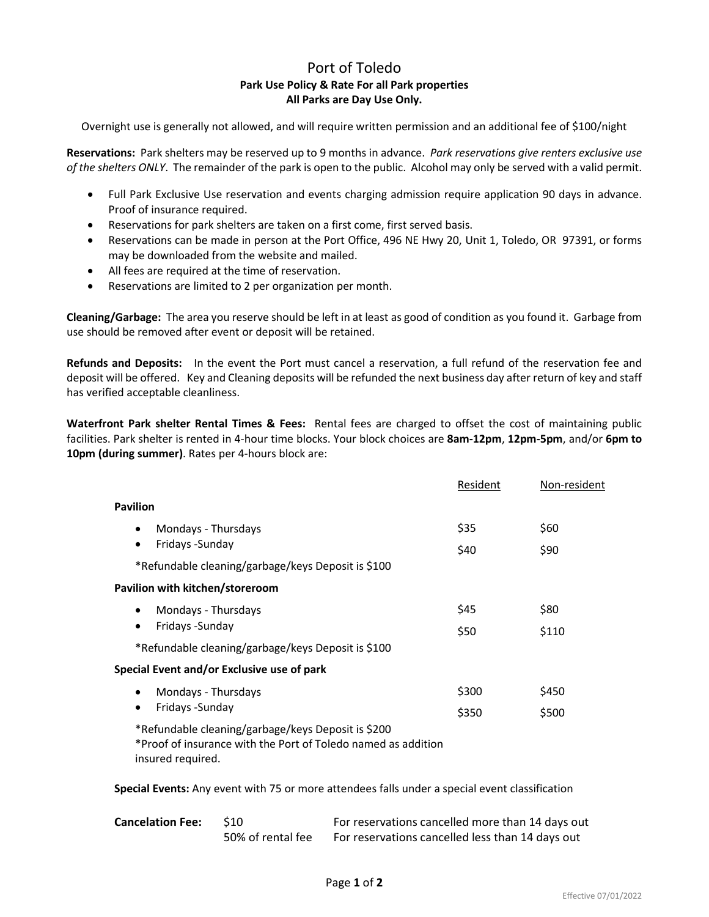## Port of Toledo **Park Use Policy & Rate For all Park properties All Parks are Day Use Only.**

Overnight use is generally not allowed, and will require written permission and an additional fee of \$100/night

**Reservations:** Park shelters may be reserved up to 9 months in advance. *Park reservations give renters exclusive use of the shelters ONLY*. The remainder of the park is open to the public. Alcohol may only be served with a valid permit.

- Full Park Exclusive Use reservation and events charging admission require application 90 days in advance. Proof of insurance required.
- Reservations for park shelters are taken on a first come, first served basis.
- Reservations can be made in person at the Port Office, 496 NE Hwy 20, Unit 1, Toledo, OR 97391, or forms may be downloaded from the website and mailed.
- All fees are required at the time of reservation.
- Reservations are limited to 2 per organization per month.

**Cleaning/Garbage:** The area you reserve should be left in at least as good of condition as you found it. Garbage from use should be removed after event or deposit will be retained.

**Refunds and Deposits:** In the event the Port must cancel a reservation, a full refund of the reservation fee and deposit will be offered. Key and Cleaning deposits will be refunded the next business day after return of key and staff has verified acceptable cleanliness.

**Waterfront Park shelter Rental Times & Fees:** Rental fees are charged to offset the cost of maintaining public facilities. Park shelter is rented in 4-hour time blocks. Your block choices are **8am-12pm**, **12pm-5pm**, and/or **6pm to 10pm (during summer)**. Rates per 4-hours block are:

|                                                                                                                                          | Resident       | Non-resident   |
|------------------------------------------------------------------------------------------------------------------------------------------|----------------|----------------|
| <b>Pavilion</b>                                                                                                                          |                |                |
| Mondays - Thursdays<br>$\bullet$<br>Fridays - Sunday<br>$\bullet$                                                                        | \$35<br>\$40   | \$60<br>\$90   |
| *Refundable cleaning/garbage/keys Deposit is \$100                                                                                       |                |                |
| Pavilion with kitchen/storeroom                                                                                                          |                |                |
| Mondays - Thursdays<br>$\bullet$<br>Fridays - Sunday<br>$\bullet$                                                                        | \$45<br>\$50   | \$80<br>\$110  |
| *Refundable cleaning/garbage/keys Deposit is \$100                                                                                       |                |                |
| Special Event and/or Exclusive use of park                                                                                               |                |                |
| Mondays - Thursdays<br>Fridays - Sunday                                                                                                  | \$300<br>\$350 | \$450<br>\$500 |
| *Refundable cleaning/garbage/keys Deposit is \$200<br>*Proof of insurance with the Port of Toledo named as addition<br>insured required. |                |                |

**Special Events:** Any event with 75 or more attendees falls under a special event classification

**Cancelation Fee:** \$10 For reservations cancelled more than 14 days out 50% of rental fee For reservations cancelled less than 14 days out